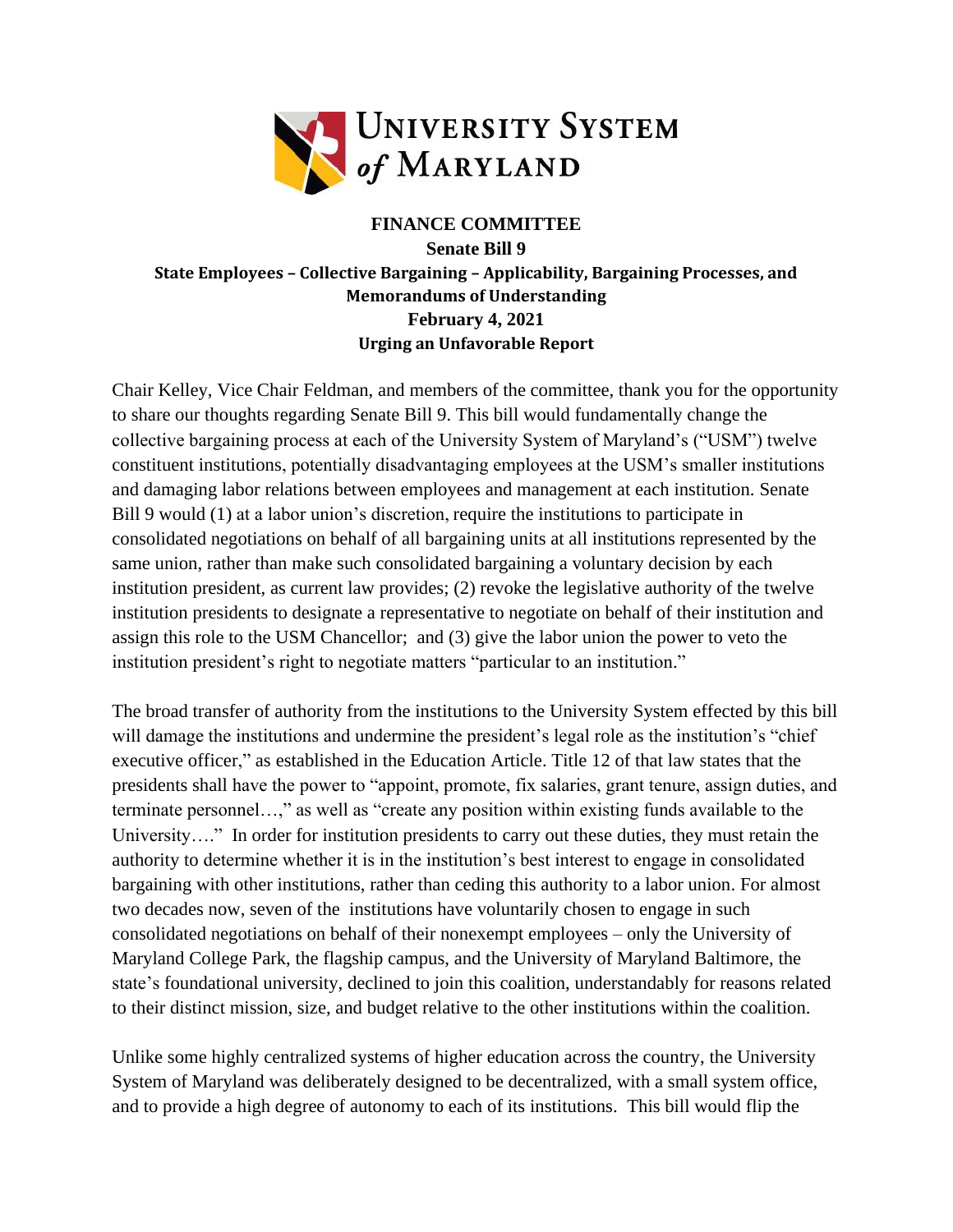

## **FINANCE COMMITTEE**

## **Senate Bill 9 State Employees – Collective Bargaining – Applicability, Bargaining Processes, and Memorandums of Understanding February 4, 2021 Urging an Unfavorable Report**

Chair Kelley, Vice Chair Feldman, and members of the committee, thank you for the opportunity to share our thoughts regarding Senate Bill 9. This bill would fundamentally change the collective bargaining process at each of the University System of Maryland's ("USM") twelve constituent institutions, potentially disadvantaging employees at the USM's smaller institutions and damaging labor relations between employees and management at each institution. Senate Bill 9 would (1) at a labor union's discretion, require the institutions to participate in consolidated negotiations on behalf of all bargaining units at all institutions represented by the same union, rather than make such consolidated bargaining a voluntary decision by each institution president, as current law provides; (2) revoke the legislative authority of the twelve institution presidents to designate a representative to negotiate on behalf of their institution and assign this role to the USM Chancellor; and (3) give the labor union the power to veto the institution president's right to negotiate matters "particular to an institution."

The broad transfer of authority from the institutions to the University System effected by this bill will damage the institutions and undermine the president's legal role as the institution's "chief executive officer," as established in the Education Article. Title 12 of that law states that the presidents shall have the power to "appoint, promote, fix salaries, grant tenure, assign duties, and terminate personnel…," as well as "create any position within existing funds available to the University…." In order for institution presidents to carry out these duties, they must retain the authority to determine whether it is in the institution's best interest to engage in consolidated bargaining with other institutions, rather than ceding this authority to a labor union. For almost two decades now, seven of the institutions have voluntarily chosen to engage in such consolidated negotiations on behalf of their nonexempt employees – only the University of Maryland College Park, the flagship campus, and the University of Maryland Baltimore, the state's foundational university, declined to join this coalition, understandably for reasons related to their distinct mission, size, and budget relative to the other institutions within the coalition.

Unlike some highly centralized systems of higher education across the country, the University System of Maryland was deliberately designed to be decentralized, with a small system office, and to provide a high degree of autonomy to each of its institutions. This bill would flip the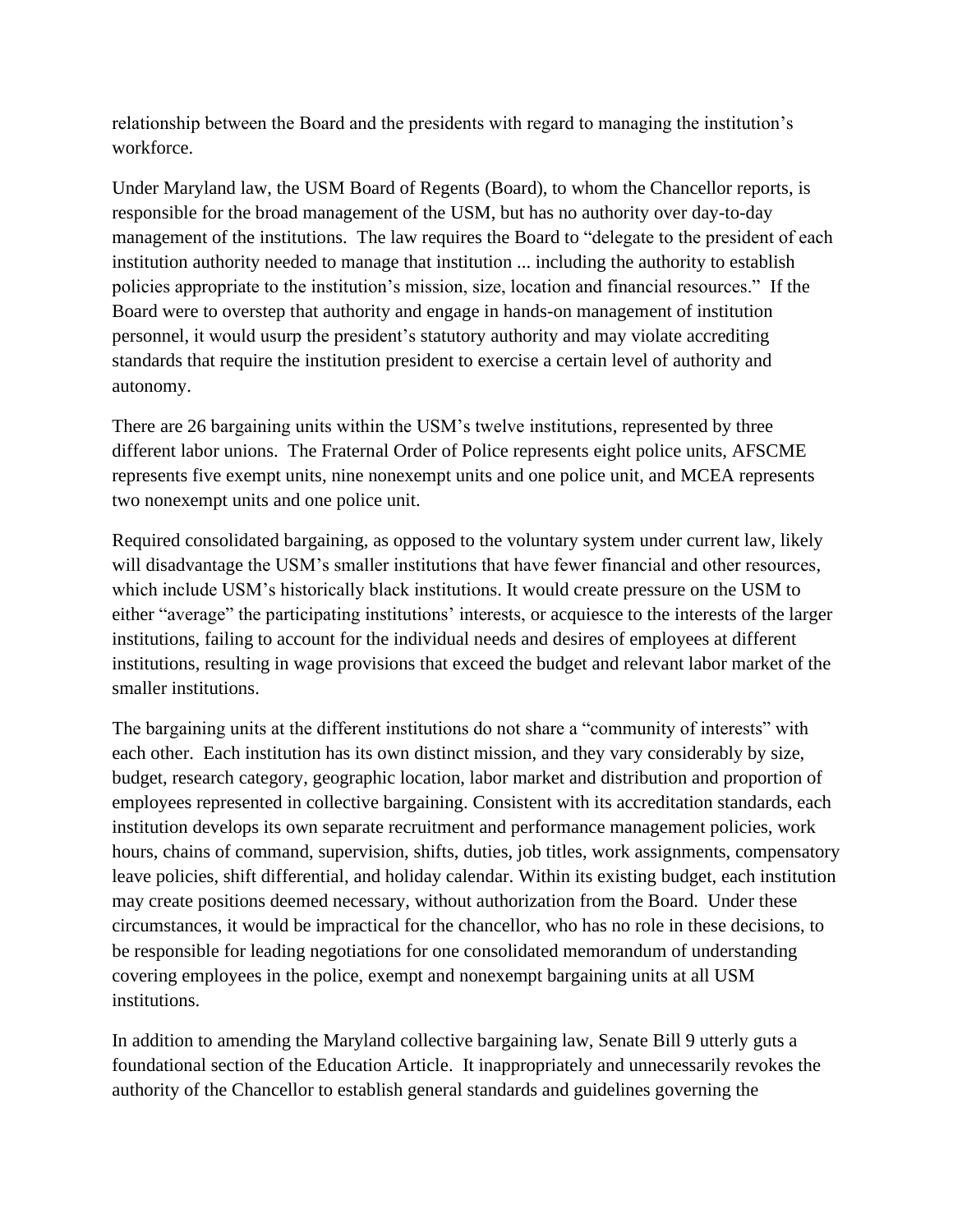relationship between the Board and the presidents with regard to managing the institution's workforce.

Under Maryland law, the USM Board of Regents (Board), to whom the Chancellor reports, is responsible for the broad management of the USM, but has no authority over day-to-day management of the institutions. The law requires the Board to "delegate to the president of each institution authority needed to manage that institution ... including the authority to establish policies appropriate to the institution's mission, size, location and financial resources." If the Board were to overstep that authority and engage in hands-on management of institution personnel, it would usurp the president's statutory authority and may violate accrediting standards that require the institution president to exercise a certain level of authority and autonomy.

There are 26 bargaining units within the USM's twelve institutions, represented by three different labor unions. The Fraternal Order of Police represents eight police units, AFSCME represents five exempt units, nine nonexempt units and one police unit, and MCEA represents two nonexempt units and one police unit.

Required consolidated bargaining, as opposed to the voluntary system under current law, likely will disadvantage the USM's smaller institutions that have fewer financial and other resources, which include USM's historically black institutions. It would create pressure on the USM to either "average" the participating institutions' interests, or acquiesce to the interests of the larger institutions, failing to account for the individual needs and desires of employees at different institutions, resulting in wage provisions that exceed the budget and relevant labor market of the smaller institutions.

The bargaining units at the different institutions do not share a "community of interests" with each other. Each institution has its own distinct mission, and they vary considerably by size, budget, research category, geographic location, labor market and distribution and proportion of employees represented in collective bargaining. Consistent with its accreditation standards, each institution develops its own separate recruitment and performance management policies, work hours, chains of command, supervision, shifts, duties, job titles, work assignments, compensatory leave policies, shift differential, and holiday calendar. Within its existing budget, each institution may create positions deemed necessary, without authorization from the Board. Under these circumstances, it would be impractical for the chancellor, who has no role in these decisions, to be responsible for leading negotiations for one consolidated memorandum of understanding covering employees in the police, exempt and nonexempt bargaining units at all USM institutions.

In addition to amending the Maryland collective bargaining law, Senate Bill 9 utterly guts a foundational section of the Education Article. It inappropriately and unnecessarily revokes the authority of the Chancellor to establish general standards and guidelines governing the